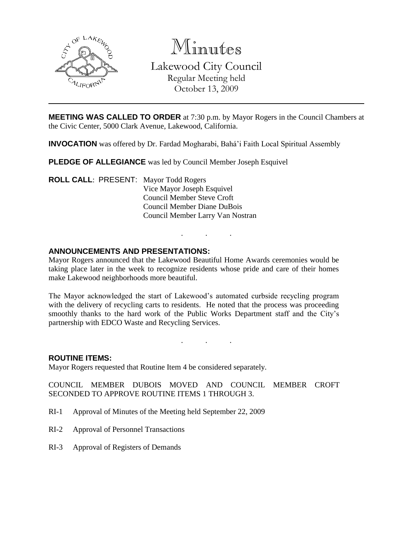

Minutes Lakewood City Council Regular Meeting held October 13, 2009

**MEETING WAS CALLED TO ORDER** at 7:30 p.m. by Mayor Rogers in the Council Chambers at the Civic Center, 5000 Clark Avenue, Lakewood, California.

**INVOCATION** was offered by Dr. Fardad Mogharabi, Bahá'i Faith Local Spiritual Assembly

**PLEDGE OF ALLEGIANCE** was led by Council Member Joseph Esquivel

**ROLL CALL**: PRESENT: Mayor Todd Rogers Vice Mayor Joseph Esquivel Council Member Steve Croft Council Member Diane DuBois Council Member Larry Van Nostran

### **ANNOUNCEMENTS AND PRESENTATIONS:**

Mayor Rogers announced that the Lakewood Beautiful Home Awards ceremonies would be taking place later in the week to recognize residents whose pride and care of their homes make Lakewood neighborhoods more beautiful.

. . .

The Mayor acknowledged the start of Lakewood's automated curbside recycling program with the delivery of recycling carts to residents. He noted that the process was proceeding smoothly thanks to the hard work of the Public Works Department staff and the City's partnership with EDCO Waste and Recycling Services.

. . .

### **ROUTINE ITEMS:**

Mayor Rogers requested that Routine Item 4 be considered separately.

COUNCIL MEMBER DUBOIS MOVED AND COUNCIL MEMBER CROFT SECONDED TO APPROVE ROUTINE ITEMS 1 THROUGH 3.

- RI-1 Approval of Minutes of the Meeting held September 22, 2009
- RI-2 Approval of Personnel Transactions
- RI-3 Approval of Registers of Demands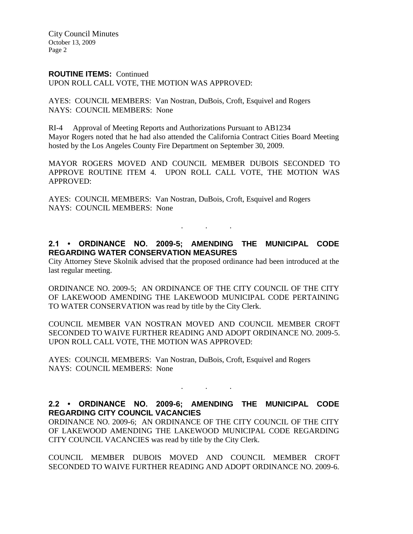City Council Minutes October 13, 2009 Page 2

### **ROUTINE ITEMS:** Continued

UPON ROLL CALL VOTE, THE MOTION WAS APPROVED:

AYES: COUNCIL MEMBERS: Van Nostran, DuBois, Croft, Esquivel and Rogers NAYS: COUNCIL MEMBERS: None

RI-4 Approval of Meeting Reports and Authorizations Pursuant to AB1234 Mayor Rogers noted that he had also attended the California Contract Cities Board Meeting hosted by the Los Angeles County Fire Department on September 30, 2009.

MAYOR ROGERS MOVED AND COUNCIL MEMBER DUBOIS SECONDED TO APPROVE ROUTINE ITEM 4. UPON ROLL CALL VOTE, THE MOTION WAS APPROVED:

AYES: COUNCIL MEMBERS: Van Nostran, DuBois, Croft, Esquivel and Rogers NAYS: COUNCIL MEMBERS: None

## **2.1 • ORDINANCE NO. 2009-5; AMENDING THE MUNICIPAL CODE REGARDING WATER CONSERVATION MEASURES**

. . .

City Attorney Steve Skolnik advised that the proposed ordinance had been introduced at the last regular meeting.

ORDINANCE NO. 2009-5; AN ORDINANCE OF THE CITY COUNCIL OF THE CITY OF LAKEWOOD AMENDING THE LAKEWOOD MUNICIPAL CODE PERTAINING TO WATER CONSERVATION was read by title by the City Clerk.

COUNCIL MEMBER VAN NOSTRAN MOVED AND COUNCIL MEMBER CROFT SECONDED TO WAIVE FURTHER READING AND ADOPT ORDINANCE NO. 2009-5. UPON ROLL CALL VOTE, THE MOTION WAS APPROVED:

AYES: COUNCIL MEMBERS: Van Nostran, DuBois, Croft, Esquivel and Rogers NAYS: COUNCIL MEMBERS: None

# **2.2 • ORDINANCE NO. 2009-6; AMENDING THE MUNICIPAL CODE REGARDING CITY COUNCIL VACANCIES**

. . .

ORDINANCE NO. 2009-6; AN ORDINANCE OF THE CITY COUNCIL OF THE CITY OF LAKEWOOD AMENDING THE LAKEWOOD MUNICIPAL CODE REGARDING CITY COUNCIL VACANCIES was read by title by the City Clerk.

COUNCIL MEMBER DUBOIS MOVED AND COUNCIL MEMBER CROFT SECONDED TO WAIVE FURTHER READING AND ADOPT ORDINANCE NO. 2009-6.